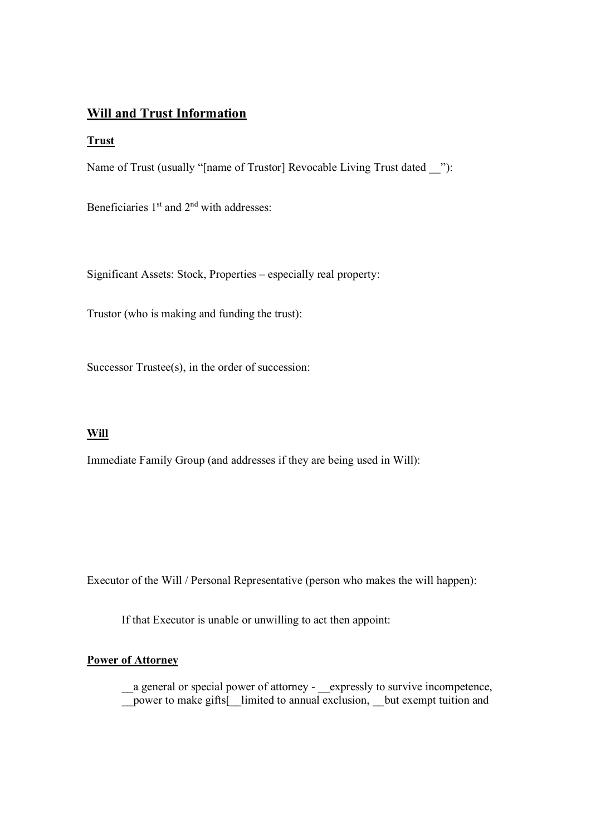# **Will and Trust Information**

#### **Trust**

Name of Trust (usually "[name of Trustor] Revocable Living Trust dated "):

Beneficiaries 1<sup>st</sup> and 2<sup>nd</sup> with addresses:

Significant Assets: Stock, Properties – especially real property:

Trustor (who is making and funding the trust):

Successor Trustee(s), in the order of succession:

## **Will**

Immediate Family Group (and addresses if they are being used in Will):

Executor of the Will / Personal Representative (person who makes the will happen):

If that Executor is unable or unwilling to act then appoint:

# **Power of Attorney**

\_\_a general or special power of attorney - \_\_expressly to survive incompetence, \_\_power to make gifts[\_\_limited to annual exclusion, \_\_but exempt tuition and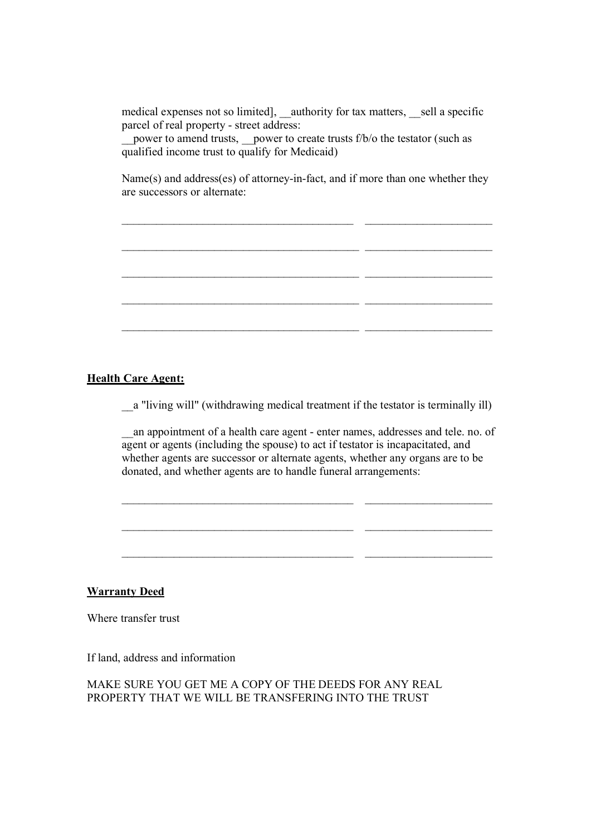medical expenses not so limited], \_\_authority for tax matters, \_\_sell a specific parcel of real property - street address:

power to amend trusts, power to create trusts f/b/o the testator (such as qualified income trust to qualify for Medicaid)

Name(s) and address(es) of attorney-in-fact, and if more than one whether they are successors or alternate:

 $\mathcal{L}_\mathcal{L}$  , and the set of the set of the set of the set of the set of the set of the set of the set of the set of the set of the set of the set of the set of the set of the set of the set of the set of the set of th

 $\mathcal{L}_\mathcal{L}$  , and the set of the set of the set of the set of the set of the set of the set of the set of the set of the set of the set of the set of the set of the set of the set of the set of the set of the set of th

 $\mathcal{L}_\text{max} = \frac{1}{2} \sum_{i=1}^n \mathcal{L}_\text{max}(\mathbf{z}_i - \mathbf{z}_i)$ 

 $\mathcal{L}_\mathcal{L}$  , and the set of the set of the set of the set of the set of the set of the set of the set of the set of the set of the set of the set of the set of the set of the set of the set of the set of the set of th

 $\mathcal{L}_\mathcal{L}$  , and the set of the set of the set of the set of the set of the set of the set of the set of the set of the set of the set of the set of the set of the set of the set of the set of the set of the set of th

#### **Health Care Agent:**

\_\_a "living will" (withdrawing medical treatment if the testator is terminally ill)

an appointment of a health care agent - enter names, addresses and tele. no. of agent or agents (including the spouse) to act if testator is incapacitated, and whether agents are successor or alternate agents, whether any organs are to be donated, and whether agents are to handle funeral arrangements:

 $\mathcal{L}_\text{max} = \frac{1}{2} \sum_{i=1}^n \mathcal{L}_\text{max}(\mathbf{z}_i - \mathbf{z}_i)$ 

 $\mathcal{L}_\mathcal{L}$  , and the set of the set of the set of the set of the set of the set of the set of the set of the set of the set of the set of the set of the set of the set of the set of the set of the set of the set of th

 $\overline{\phantom{a}}$  , and the contribution of the contribution of  $\overline{\phantom{a}}$  , and the contribution of  $\overline{\phantom{a}}$ 

## **Warranty Deed**

Where transfer trust

If land, address and information

# MAKE SURE YOU GET ME A COPY OF THE DEEDS FOR ANY REAL PROPERTY THAT WE WILL BE TRANSFERING INTO THE TRUST